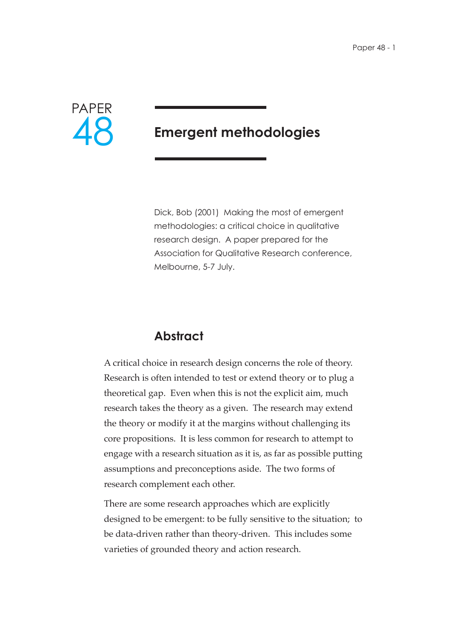

# **Emergent methodologies**

Dick, Bob (2001) Making the most of emergent methodologies: a critical choice in qualitative research design. A paper prepared for the Association for Qualitative Research conference, Melbourne, 5-7 July.

# **Abstract**

A critical choice in research design concerns the role of theory. Research is often intended to test or extend theory or to plug a theoretical gap. Even when this is not the explicit aim, much research takes the theory as a given. The research may extend the theory or modify it at the margins without challenging its core propositions. It is less common for research to attempt to engage with a research situation as it is, as far as possible putting assumptions and preconceptions aside. The two forms of research complement each other.

There are some research approaches which are explicitly designed to be emergent: to be fully sensitive to the situation; to be data-driven rather than theory-driven. This includes some varieties of grounded theory and action research.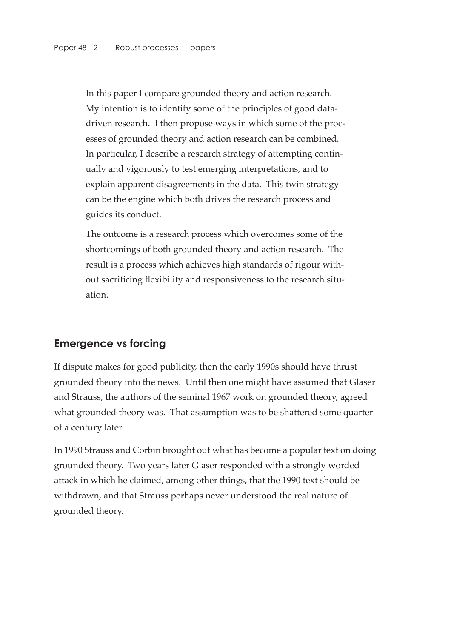In this paper I compare grounded theory and action research. My intention is to identify some of the principles of good datadriven research. I then propose ways in which some of the processes of grounded theory and action research can be combined. In particular, I describe a research strategy of attempting continually and vigorously to test emerging interpretations, and to explain apparent disagreements in the data. This twin strategy can be the engine which both drives the research process and guides its conduct.

The outcome is a research process which overcomes some of the shortcomings of both grounded theory and action research. The result is a process which achieves high standards of rigour without sacrificing flexibility and responsiveness to the research situation.

### **Emergence vs forcing**

If dispute makes for good publicity, then the early 1990s should have thrust grounded theory into the news. Until then one might have assumed that Glaser and Strauss, the authors of the seminal 1967 work on grounded theory, agreed what grounded theory was. That assumption was to be shattered some quarter of a century later.

In 1990 Strauss and Corbin brought out what has become a popular text on doing grounded theory. Two years later Glaser responded with a strongly worded attack in which he claimed, among other things, that the 1990 text should be withdrawn, and that Strauss perhaps never understood the real nature of grounded theory.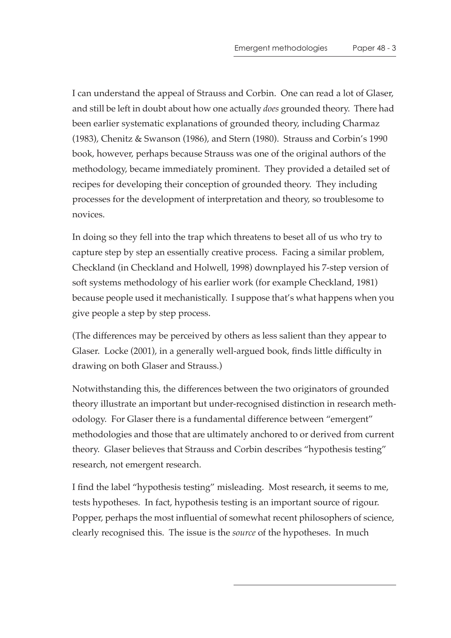I can understand the appeal of Strauss and Corbin. One can read a lot of Glaser, and still be left in doubt about how one actually *does* grounded theory. There had been earlier systematic explanations of grounded theory, including Charmaz (1983), Chenitz & Swanson (1986), and Stern (1980). Strauss and Corbin's 1990 book, however, perhaps because Strauss was one of the original authors of the methodology, became immediately prominent. They provided a detailed set of recipes for developing their conception of grounded theory. They including processes for the development of interpretation and theory, so troublesome to novices.

In doing so they fell into the trap which threatens to beset all of us who try to capture step by step an essentially creative process. Facing a similar problem, Checkland (in Checkland and Holwell, 1998) downplayed his 7-step version of soft systems methodology of his earlier work (for example Checkland, 1981) because people used it mechanistically. I suppose that's what happens when you give people a step by step process.

(The differences may be perceived by others as less salient than they appear to Glaser. Locke (2001), in a generally well-argued book, finds little difficulty in drawing on both Glaser and Strauss.)

Notwithstanding this, the differences between the two originators of grounded theory illustrate an important but under-recognised distinction in research methodology. For Glaser there is a fundamental difference between "emergent" methodologies and those that are ultimately anchored to or derived from current theory. Glaser believes that Strauss and Corbin describes "hypothesis testing" research, not emergent research.

I find the label "hypothesis testing" misleading. Most research, it seems to me, tests hypotheses. In fact, hypothesis testing is an important source of rigour. Popper, perhaps the most influential of somewhat recent philosophers of science, clearly recognised this. The issue is the *source* of the hypotheses. In much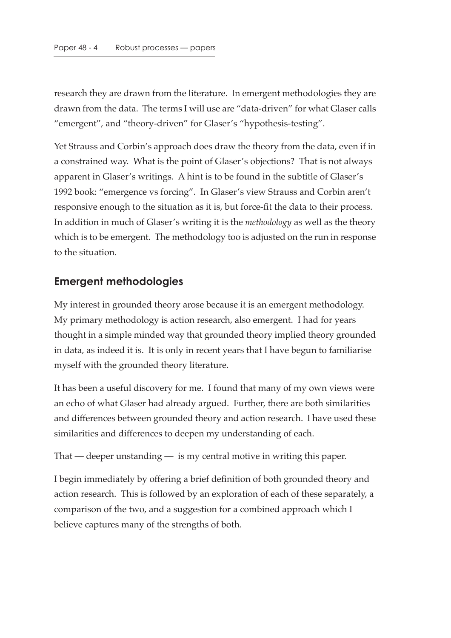research they are drawn from the literature. In emergent methodologies they are drawn from the data. The terms I will use are "data-driven" for what Glaser calls "emergent", and "theory-driven" for Glaser's "hypothesis-testing".

Yet Strauss and Corbin's approach does draw the theory from the data, even if in a constrained way. What is the point of Glaser's objections? That is not always apparent in Glaser's writings. A hint is to be found in the subtitle of Glaser's 1992 book: "emergence vs forcing". In Glaser's view Strauss and Corbin aren't responsive enough to the situation as it is, but force-fit the data to their process. In addition in much of Glaser's writing it is the *methodology* as well as the theory which is to be emergent. The methodology too is adjusted on the run in response to the situation.

### **Emergent methodologies**

My interest in grounded theory arose because it is an emergent methodology. My primary methodology is action research, also emergent. I had for years thought in a simple minded way that grounded theory implied theory grounded in data, as indeed it is. It is only in recent years that I have begun to familiarise myself with the grounded theory literature.

It has been a useful discovery for me. I found that many of my own views were an echo of what Glaser had already argued. Further, there are both similarities and differences between grounded theory and action research. I have used these similarities and differences to deepen my understanding of each.

That — deeper unstanding — is my central motive in writing this paper.

I begin immediately by offering a brief definition of both grounded theory and action research. This is followed by an exploration of each of these separately, a comparison of the two, and a suggestion for a combined approach which I believe captures many of the strengths of both.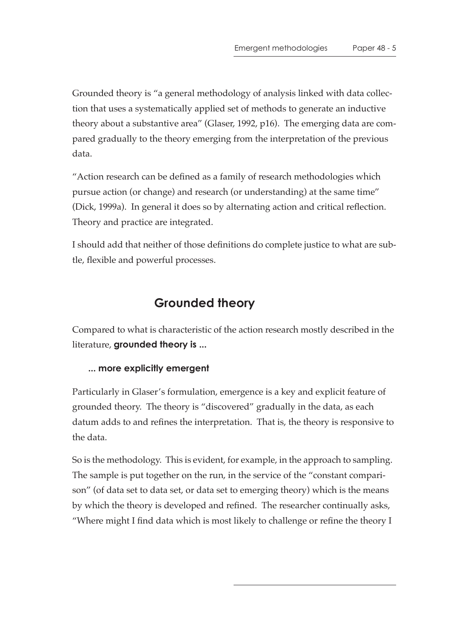Grounded theory is "a general methodology of analysis linked with data collection that uses a systematically applied set of methods to generate an inductive theory about a substantive area" (Glaser, 1992, p16). The emerging data are compared gradually to the theory emerging from the interpretation of the previous data.

"Action research can be defined as a family of research methodologies which pursue action (or change) and research (or understanding) at the same time" (Dick, 1999a). In general it does so by alternating action and critical reflection. Theory and practice are integrated.

I should add that neither of those definitions do complete justice to what are subtle, flexible and powerful processes.

# **Grounded theory**

Compared to what is characteristic of the action research mostly described in the literature, **grounded theory is ...**

### **... more explicitly emergent**

Particularly in Glaser's formulation, emergence is a key and explicit feature of grounded theory. The theory is "discovered" gradually in the data, as each datum adds to and refines the interpretation. That is, the theory is responsive to the data.

So is the methodology. This is evident, for example, in the approach to sampling. The sample is put together on the run, in the service of the "constant comparison" (of data set to data set, or data set to emerging theory) which is the means by which the theory is developed and refined. The researcher continually asks, "Where might I find data which is most likely to challenge or refine the theory I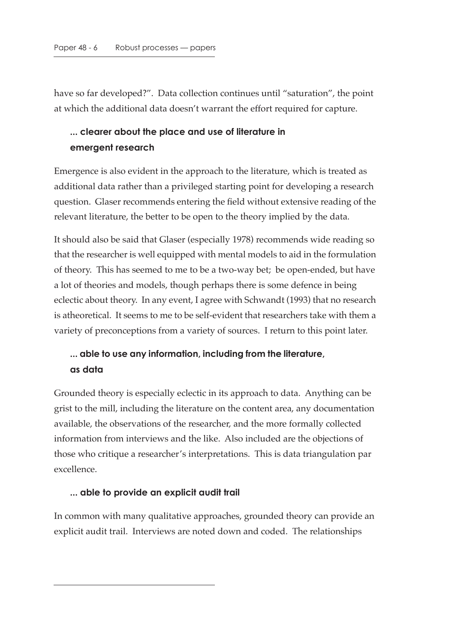have so far developed?". Data collection continues until "saturation", the point at which the additional data doesn't warrant the effort required for capture.

### **... clearer about the place and use of literature in emergent research**

Emergence is also evident in the approach to the literature, which is treated as additional data rather than a privileged starting point for developing a research question. Glaser recommends entering the field without extensive reading of the relevant literature, the better to be open to the theory implied by the data.

It should also be said that Glaser (especially 1978) recommends wide reading so that the researcher is well equipped with mental models to aid in the formulation of theory. This has seemed to me to be a two-way bet; be open-ended, but have a lot of theories and models, though perhaps there is some defence in being eclectic about theory. In any event, I agree with Schwandt (1993) that no research is atheoretical. It seems to me to be self-evident that researchers take with them a variety of preconceptions from a variety of sources. I return to this point later.

## **... able to use any information, including from the literature, as data**

Grounded theory is especially eclectic in its approach to data. Anything can be grist to the mill, including the literature on the content area, any documentation available, the observations of the researcher, and the more formally collected information from interviews and the like. Also included are the objections of those who critique a researcher's interpretations. This is data triangulation par excellence.

#### **... able to provide an explicit audit trail**

In common with many qualitative approaches, grounded theory can provide an explicit audit trail. Interviews are noted down and coded. The relationships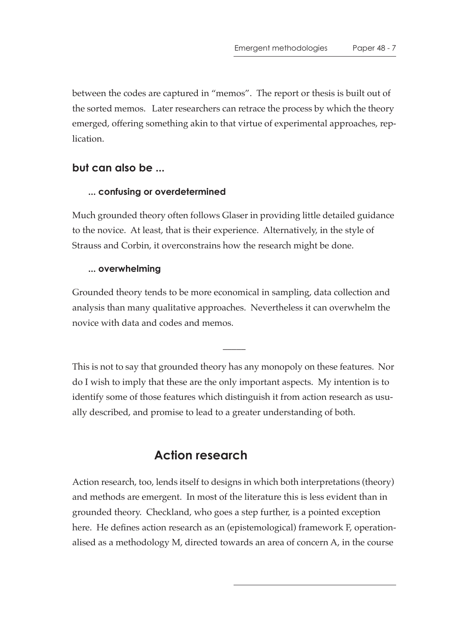between the codes are captured in "memos". The report or thesis is built out of the sorted memos. Later researchers can retrace the process by which the theory emerged, offering something akin to that virtue of experimental approaches, replication.

### **but can also be ...**

#### **... confusing or overdetermined**

Much grounded theory often follows Glaser in providing little detailed guidance to the novice. At least, that is their experience. Alternatively, in the style of Strauss and Corbin, it overconstrains how the research might be done.

#### **... overwhelming**

Grounded theory tends to be more economical in sampling, data collection and analysis than many qualitative approaches. Nevertheless it can overwhelm the novice with data and codes and memos.

This is not to say that grounded theory has any monopoly on these features. Nor do I wish to imply that these are the only important aspects. My intention is to identify some of those features which distinguish it from action research as usually described, and promise to lead to a greater understanding of both.

 $\overline{\phantom{a}}$ 

# **Action research**

Action research, too, lends itself to designs in which both interpretations (theory) and methods are emergent. In most of the literature this is less evident than in grounded theory. Checkland, who goes a step further, is a pointed exception here. He defines action research as an (epistemological) framework F, operationalised as a methodology M, directed towards an area of concern A, in the course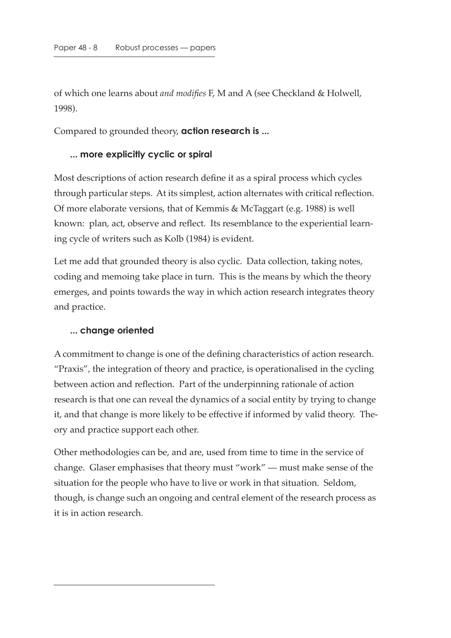of which one learns about *and modifies* F, M and A (see Checkland & Holwell, 1998).

Compared to grounded theory, **action research is ...**

#### **... more explicitly cyclic or spiral**

Most descriptions of action research define it as a spiral process which cycles through particular steps. At its simplest, action alternates with critical reflection. Of more elaborate versions, that of Kemmis & McTaggart (e.g. 1988) is well known: plan, act, observe and reflect. Its resemblance to the experiential learning cycle of writers such as Kolb (1984) is evident.

Let me add that grounded theory is also cyclic. Data collection, taking notes, coding and memoing take place in turn. This is the means by which the theory emerges, and points towards the way in which action research integrates theory and practice.

#### **... change oriented**

A commitment to change is one of the defining characteristics of action research. "Praxis", the integration of theory and practice, is operationalised in the cycling between action and reflection. Part of the underpinning rationale of action research is that one can reveal the dynamics of a social entity by trying to change it, and that change is more likely to be effective if informed by valid theory. Theory and practice support each other.

Other methodologies can be, and are, used from time to time in the service of change. Glaser emphasises that theory must "work" — must make sense of the situation for the people who have to live or work in that situation. Seldom, though, is change such an ongoing and central element of the research process as it is in action research.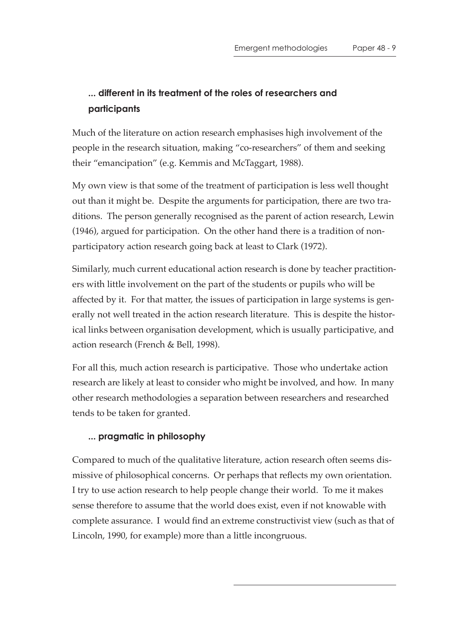# **... different in its treatment of the roles of researchers and participants**

Much of the literature on action research emphasises high involvement of the people in the research situation, making "co-researchers" of them and seeking their "emancipation" (e.g. Kemmis and McTaggart, 1988).

My own view is that some of the treatment of participation is less well thought out than it might be. Despite the arguments for participation, there are two traditions. The person generally recognised as the parent of action research, Lewin (1946), argued for participation. On the other hand there is a tradition of nonparticipatory action research going back at least to Clark (1972).

Similarly, much current educational action research is done by teacher practitioners with little involvement on the part of the students or pupils who will be affected by it. For that matter, the issues of participation in large systems is generally not well treated in the action research literature. This is despite the historical links between organisation development, which is usually participative, and action research (French & Bell, 1998).

For all this, much action research is participative. Those who undertake action research are likely at least to consider who might be involved, and how. In many other research methodologies a separation between researchers and researched tends to be taken for granted.

#### **... pragmatic in philosophy**

Compared to much of the qualitative literature, action research often seems dismissive of philosophical concerns. Or perhaps that reflects my own orientation. I try to use action research to help people change their world. To me it makes sense therefore to assume that the world does exist, even if not knowable with complete assurance. I would find an extreme constructivist view (such as that of Lincoln, 1990, for example) more than a little incongruous.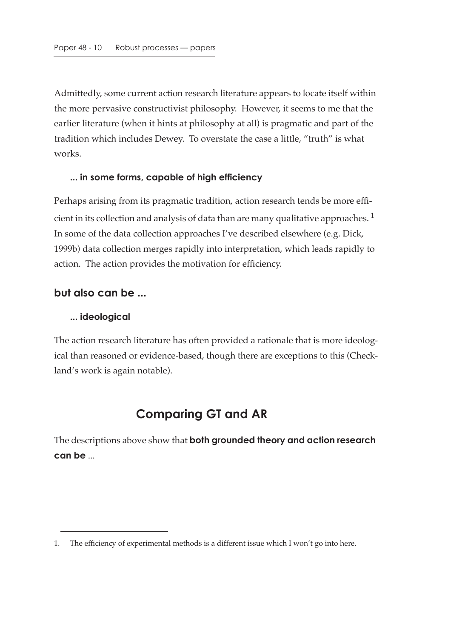Admittedly, some current action research literature appears to locate itself within the more pervasive constructivist philosophy. However, it seems to me that the earlier literature (when it hints at philosophy at all) is pragmatic and part of the tradition which includes Dewey. To overstate the case a little, "truth" is what works.

#### **... in some forms, capable of high efficiency**

Perhaps arising from its pragmatic tradition, action research tends be more efficient in its collection and analysis of data than are many qualitative approaches.<sup>1</sup> In some of the data collection approaches I've described elsewhere (e.g. Dick, 1999b) data collection merges rapidly into interpretation, which leads rapidly to action. The action provides the motivation for efficiency.

#### **but also can be ...**

#### **... ideological**

The action research literature has often provided a rationale that is more ideological than reasoned or evidence-based, though there are exceptions to this (Checkland's work is again notable).

# **Comparing GT and AR**

The descriptions above show that **both grounded theory and action research can be** ...

<sup>1.</sup> The efficiency of experimental methods is a different issue which I won't go into here.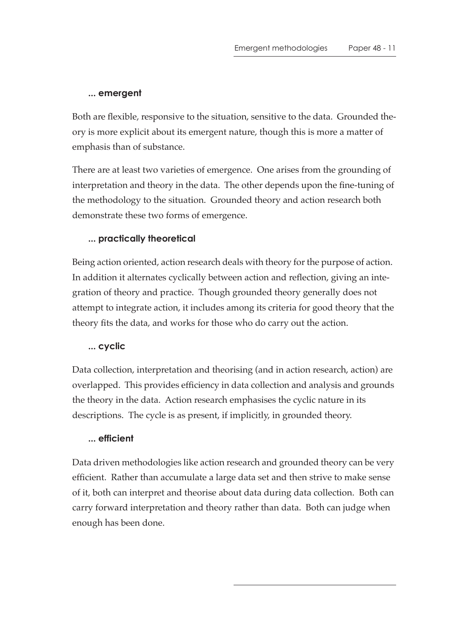#### **... emergent**

Both are flexible, responsive to the situation, sensitive to the data. Grounded theory is more explicit about its emergent nature, though this is more a matter of emphasis than of substance.

There are at least two varieties of emergence. One arises from the grounding of interpretation and theory in the data. The other depends upon the fine-tuning of the methodology to the situation. Grounded theory and action research both demonstrate these two forms of emergence.

#### **... practically theoretical**

Being action oriented, action research deals with theory for the purpose of action. In addition it alternates cyclically between action and reflection, giving an integration of theory and practice. Though grounded theory generally does not attempt to integrate action, it includes among its criteria for good theory that the theory fits the data, and works for those who do carry out the action.

#### **... cyclic**

Data collection, interpretation and theorising (and in action research, action) are overlapped. This provides efficiency in data collection and analysis and grounds the theory in the data. Action research emphasises the cyclic nature in its descriptions. The cycle is as present, if implicitly, in grounded theory.

#### **... efficient**

Data driven methodologies like action research and grounded theory can be very efficient. Rather than accumulate a large data set and then strive to make sense of it, both can interpret and theorise about data during data collection. Both can carry forward interpretation and theory rather than data. Both can judge when enough has been done.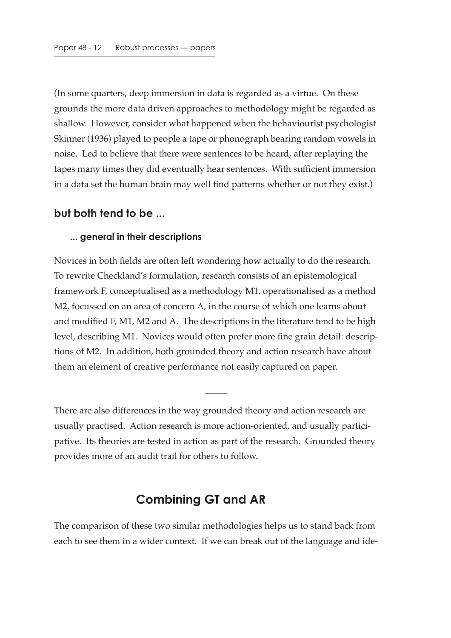(In some quarters, deep immersion in data is regarded as a virtue. On these grounds the more data driven approaches to methodology might be regarded as shallow. However, consider what happened when the behaviourist psychologist Skinner (1936) played to people a tape or phonograph bearing random vowels in noise. Led to believe that there were sentences to be heard, after replaying the tapes many times they did eventually hear sentences. With sufficient immersion in a data set the human brain may well find patterns whether or not they exist.)

#### **but both tend to be ...**

#### **... general in their descriptions**

Novices in both fields are often left wondering how actually to do the research. To rewrite Checkland's formulation, research consists of an epistemological framework F, conceptualised as a methodology M1, operationalised as a method M2, focussed on an area of concern A, in the course of which one learns about and modified F, M1, M2 and A. The descriptions in the literature tend to be high level, describing M1. Novices would often prefer more fine grain detail: descriptions of M2. In addition, both grounded theory and action research have about them an element of creative performance not easily captured on paper.

There are also differences in the way grounded theory and action research are usually practised. Action research is more action-oriented, and usually participative. Its theories are tested in action as part of the research. Grounded theory provides more of an audit trail for others to follow.

 $\overline{\phantom{a}}$ 

### **Combining GT and AR**

The comparison of these two similar methodologies helps us to stand back from each to see them in a wider context. If we can break out of the language and ide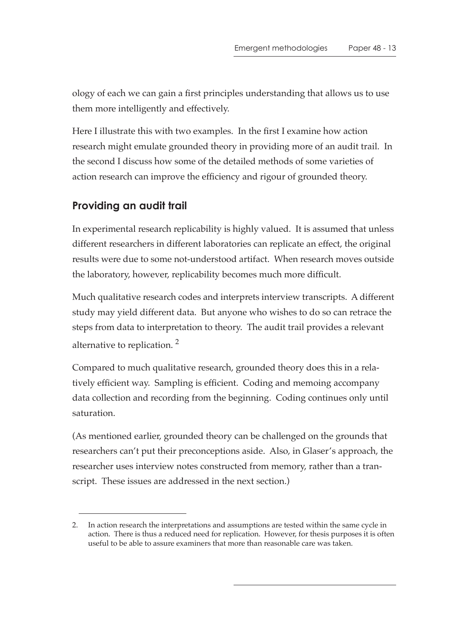ology of each we can gain a first principles understanding that allows us to use them more intelligently and effectively.

Here I illustrate this with two examples. In the first I examine how action research might emulate grounded theory in providing more of an audit trail. In the second I discuss how some of the detailed methods of some varieties of action research can improve the efficiency and rigour of grounded theory.

# **Providing an audit trail**

In experimental research replicability is highly valued. It is assumed that unless different researchers in different laboratories can replicate an effect, the original results were due to some not-understood artifact. When research moves outside the laboratory, however, replicability becomes much more difficult.

Much qualitative research codes and interprets interview transcripts. A different study may yield different data. But anyone who wishes to do so can retrace the steps from data to interpretation to theory. The audit trail provides a relevant alternative to replication. 2

Compared to much qualitative research, grounded theory does this in a relatively efficient way. Sampling is efficient. Coding and memoing accompany data collection and recording from the beginning. Coding continues only until saturation.

(As mentioned earlier, grounded theory can be challenged on the grounds that researchers can't put their preconceptions aside. Also, in Glaser's approach, the researcher uses interview notes constructed from memory, rather than a transcript. These issues are addressed in the next section.)

<sup>2.</sup> In action research the interpretations and assumptions are tested within the same cycle in action. There is thus a reduced need for replication. However, for thesis purposes it is often useful to be able to assure examiners that more than reasonable care was taken.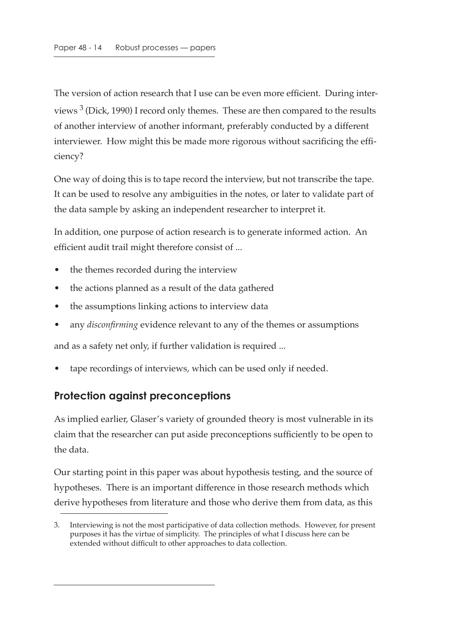The version of action research that I use can be even more efficient. During interviews  $3$  (Dick, 1990) I record only themes. These are then compared to the results of another interview of another informant, preferably conducted by a different interviewer. How might this be made more rigorous without sacrificing the efficiency?

One way of doing this is to tape record the interview, but not transcribe the tape. It can be used to resolve any ambiguities in the notes, or later to validate part of the data sample by asking an independent researcher to interpret it.

In addition, one purpose of action research is to generate informed action. An efficient audit trail might therefore consist of ...

- the themes recorded during the interview
- the actions planned as a result of the data gathered
- the assumptions linking actions to interview data
- any *disconfirming* evidence relevant to any of the themes or assumptions

and as a safety net only, if further validation is required ...

tape recordings of interviews, which can be used only if needed.

### **Protection against preconceptions**

As implied earlier, Glaser's variety of grounded theory is most vulnerable in its claim that the researcher can put aside preconceptions sufficiently to be open to the data.

Our starting point in this paper was about hypothesis testing, and the source of hypotheses. There is an important difference in those research methods which derive hypotheses from literature and those who derive them from data, as this

<sup>3.</sup> Interviewing is not the most participative of data collection methods. However, for present purposes it has the virtue of simplicity. The principles of what I discuss here can be extended without difficult to other approaches to data collection.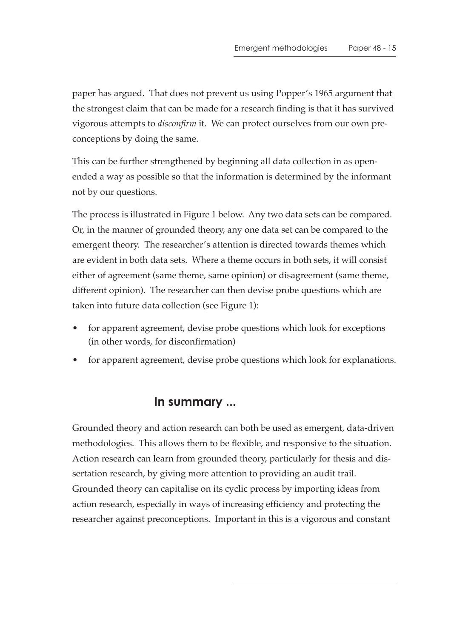paper has argued. That does not prevent us using Popper's 1965 argument that the strongest claim that can be made for a research finding is that it has survived vigorous attempts to *disconfirm* it. We can protect ourselves from our own preconceptions by doing the same.

This can be further strengthened by beginning all data collection in as openended a way as possible so that the information is determined by the informant not by our questions.

The process is illustrated in Figure 1 below. Any two data sets can be compared. Or, in the manner of grounded theory, any one data set can be compared to the emergent theory. The researcher's attention is directed towards themes which are evident in both data sets. Where a theme occurs in both sets, it will consist either of agreement (same theme, same opinion) or disagreement (same theme, different opinion). The researcher can then devise probe questions which are taken into future data collection (see Figure 1):

- for apparent agreement, devise probe questions which look for exceptions (in other words, for disconfirmation)
- for apparent agreement, devise probe questions which look for explanations.

# **In summary ...**

Grounded theory and action research can both be used as emergent, data-driven methodologies. This allows them to be flexible, and responsive to the situation. Action research can learn from grounded theory, particularly for thesis and dissertation research, by giving more attention to providing an audit trail. Grounded theory can capitalise on its cyclic process by importing ideas from action research, especially in ways of increasing efficiency and protecting the researcher against preconceptions. Important in this is a vigorous and constant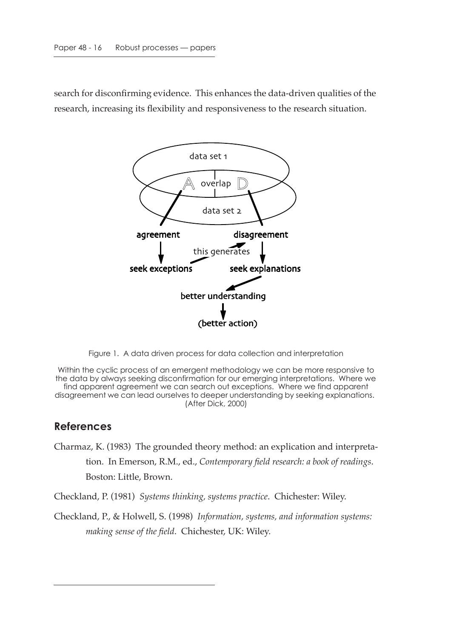search for disconfirming evidence. This enhances the data-driven qualities of the research, increasing its flexibility and responsiveness to the research situation.



Figure 1. A data driven process for data collection and interpretation

Within the cyclic process of an emergent methodology we can be more responsive to the data by always seeking disconfirmation for our emerging interpretations. Where we find apparent agreement we can search out exceptions. Where we find apparent disagreement we can lead ourselves to deeper understanding by seeking explanations. (After Dick, 2000)

#### **References**

Charmaz, K. (1983) The grounded theory method: an explication and interpretation. In Emerson, R.M., ed., *Contemporary field research: a book of readings*. Boston: Little, Brown.

Checkland, P. (1981) *Systems thinking, systems practice*. Chichester: Wiley.

Checkland, P., & Holwell, S. (1998) *Information, systems, and information systems: making sense of the field*. Chichester, UK: Wiley.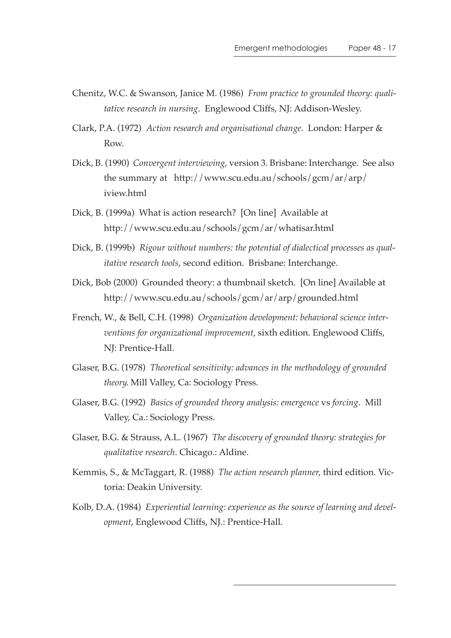- Chenitz, W.C. & Swanson, Janice M. (1986) *From practice to grounded theory: qualitative research in nursing*. Englewood Cliffs, NJ: Addison-Wesley.
- Clark, P.A. (1972) *Action research and organisational change*. London: Harper & Row.
- Dick, B. (1990) *Convergent interviewing*, version 3. Brisbane: Interchange. See also the summary at http://www.scu.edu.au/schools/gcm/ar/arp/ iview.html
- Dick, B. (1999a) What is action research? [On line] Available at http://www.scu.edu.au/schools/gcm/ar/whatisar.html
- Dick, B. (1999b) *Rigour without numbers: the potential of dialectical processes as qualitative research tools*, second edition. Brisbane: Interchange.
- Dick, Bob (2000) Grounded theory: a thumbnail sketch. [On line] Available at http://www.scu.edu.au/schools/gcm/ar/arp/grounded.html
- French, W., & Bell, C.H. (1998) *Organization development: behavioral science interventions for organizational improvement*, sixth edition. Englewood Cliffs, NJ: Prentice-Hall.
- Glaser, B.G. (1978) *Theoretical sensitivity: advances in the methodology of grounded theory*. Mill Valley, Ca: Sociology Press.
- Glaser, B.G. (1992) *Basics of grounded theory analysis: emergence* vs *forcing*. Mill Valley, Ca.: Sociology Press.
- Glaser, B.G. & Strauss, A.L. (1967) *The discovery of grounded theory: strategies for qualitative research*. Chicago.: Aldine.
- Kemmis, S., & McTaggart, R. (1988) *The action research planner*, third edition. Victoria: Deakin University.
- Kolb, D.A. (1984) *Experiential learning: experience as the source of learning and development*, Englewood Cliffs, NJ.: Prentice-Hall.